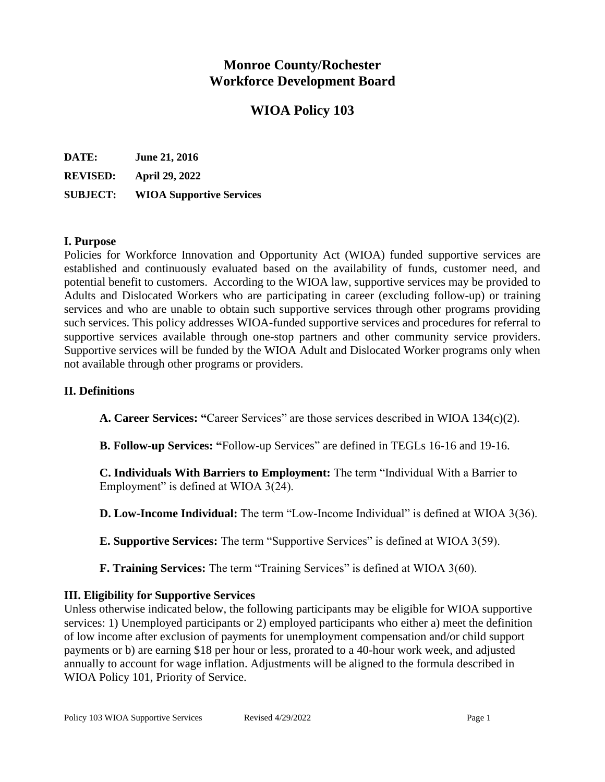# **Monroe County/Rochester Workforce Development Board**

# **WIOA Policy 103**

| DATE:           | <b>June 21, 2016</b>            |
|-----------------|---------------------------------|
| <b>REVISED:</b> | <b>April 29, 2022</b>           |
| <b>SUBJECT:</b> | <b>WIOA Supportive Services</b> |

### **I. Purpose**

Policies for Workforce Innovation and Opportunity Act (WIOA) funded supportive services are established and continuously evaluated based on the availability of funds, customer need, and potential benefit to customers. According to the WIOA law, supportive services may be provided to Adults and Dislocated Workers who are participating in career (excluding follow-up) or training services and who are unable to obtain such supportive services through other programs providing such services. This policy addresses WIOA-funded supportive services and procedures for referral to supportive services available through one-stop partners and other community service providers. Supportive services will be funded by the WIOA Adult and Dislocated Worker programs only when not available through other programs or providers.

#### **II. Definitions**

**A. Career Services: "**Career Services" are those services described in WIOA 134(c)(2).

**B. Follow-up Services: "**Follow-up Services" are defined in TEGLs 16-16 and 19-16.

**C. Individuals With Barriers to Employment:** The term "Individual With a Barrier to Employment" is defined at WIOA 3(24).

**D. Low-Income Individual:** The term "Low-Income Individual" is defined at WIOA 3(36).

**E. Supportive Services:** The term "Supportive Services" is defined at WIOA 3(59).

**F. Training Services:** The term "Training Services" is defined at WIOA 3(60).

### **III. Eligibility for Supportive Services**

Unless otherwise indicated below, the following participants may be eligible for WIOA supportive services: 1) Unemployed participants or 2) employed participants who either a) meet the definition of low income after exclusion of payments for unemployment compensation and/or child support payments or b) are earning \$18 per hour or less, prorated to a 40-hour work week, and adjusted annually to account for wage inflation. Adjustments will be aligned to the formula described in WIOA Policy 101, Priority of Service.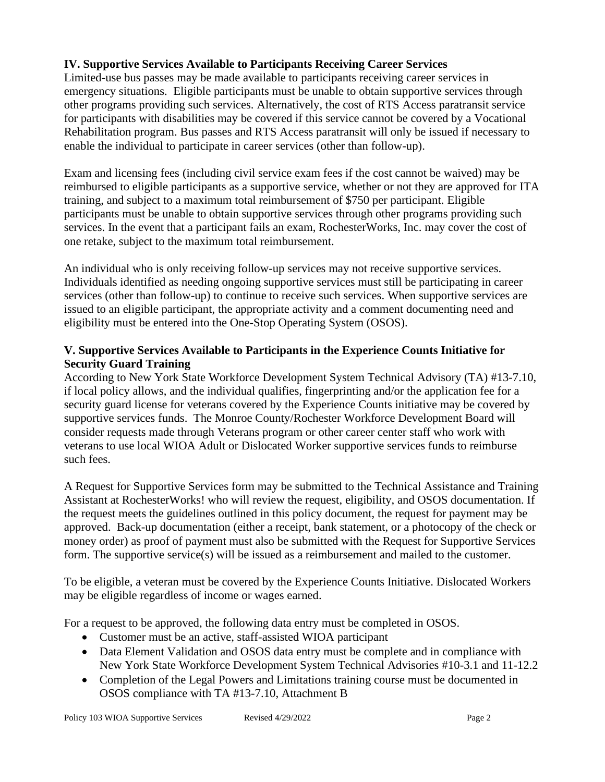# **IV. Supportive Services Available to Participants Receiving Career Services**

Limited-use bus passes may be made available to participants receiving career services in emergency situations. Eligible participants must be unable to obtain supportive services through other programs providing such services. Alternatively, the cost of RTS Access paratransit service for participants with disabilities may be covered if this service cannot be covered by a Vocational Rehabilitation program. Bus passes and RTS Access paratransit will only be issued if necessary to enable the individual to participate in career services (other than follow-up).

Exam and licensing fees (including civil service exam fees if the cost cannot be waived) may be reimbursed to eligible participants as a supportive service, whether or not they are approved for ITA training, and subject to a maximum total reimbursement of \$750 per participant. Eligible participants must be unable to obtain supportive services through other programs providing such services. In the event that a participant fails an exam, RochesterWorks, Inc. may cover the cost of one retake, subject to the maximum total reimbursement.

An individual who is only receiving follow-up services may not receive supportive services. Individuals identified as needing ongoing supportive services must still be participating in career services (other than follow-up) to continue to receive such services. When supportive services are issued to an eligible participant, the appropriate activity and a comment documenting need and eligibility must be entered into the One-Stop Operating System (OSOS).

# **V. Supportive Services Available to Participants in the Experience Counts Initiative for Security Guard Training**

According to New York State Workforce Development System Technical Advisory (TA) #13-7.10, if local policy allows, and the individual qualifies, fingerprinting and/or the application fee for a security guard license for veterans covered by the Experience Counts initiative may be covered by supportive services funds. The Monroe County/Rochester Workforce Development Board will consider requests made through Veterans program or other career center staff who work with veterans to use local WIOA Adult or Dislocated Worker supportive services funds to reimburse such fees.

A Request for Supportive Services form may be submitted to the Technical Assistance and Training Assistant at RochesterWorks! who will review the request, eligibility, and OSOS documentation. If the request meets the guidelines outlined in this policy document, the request for payment may be approved. Back-up documentation (either a receipt, bank statement, or a photocopy of the check or money order) as proof of payment must also be submitted with the Request for Supportive Services form. The supportive service(s) will be issued as a reimbursement and mailed to the customer.

To be eligible, a veteran must be covered by the Experience Counts Initiative. Dislocated Workers may be eligible regardless of income or wages earned.

For a request to be approved, the following data entry must be completed in OSOS.

- Customer must be an active, staff-assisted WIOA participant
- Data Element Validation and OSOS data entry must be complete and in compliance with New York State Workforce Development System Technical Advisories #10-3.1 and 11-12.2
- Completion of the Legal Powers and Limitations training course must be documented in OSOS compliance with TA #13-7.10, Attachment B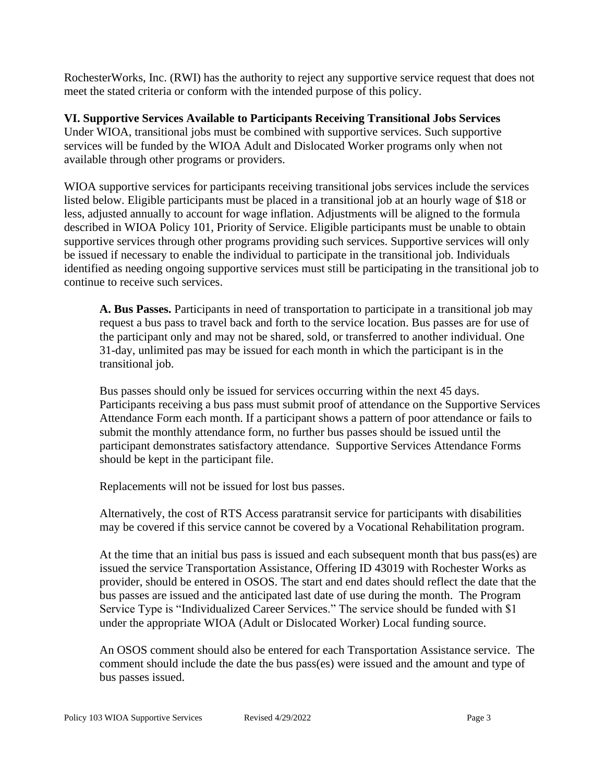RochesterWorks, Inc. (RWI) has the authority to reject any supportive service request that does not meet the stated criteria or conform with the intended purpose of this policy.

**VI. Supportive Services Available to Participants Receiving Transitional Jobs Services** Under WIOA, transitional jobs must be combined with supportive services. Such supportive services will be funded by the WIOA Adult and Dislocated Worker programs only when not available through other programs or providers.

WIOA supportive services for participants receiving transitional jobs services include the services listed below. Eligible participants must be placed in a transitional job at an hourly wage of \$18 or less, adjusted annually to account for wage inflation. Adjustments will be aligned to the formula described in WIOA Policy 101, Priority of Service. Eligible participants must be unable to obtain supportive services through other programs providing such services. Supportive services will only be issued if necessary to enable the individual to participate in the transitional job. Individuals identified as needing ongoing supportive services must still be participating in the transitional job to continue to receive such services.

**A. Bus Passes.** Participants in need of transportation to participate in a transitional job may request a bus pass to travel back and forth to the service location. Bus passes are for use of the participant only and may not be shared, sold, or transferred to another individual. One 31-day, unlimited pas may be issued for each month in which the participant is in the transitional job.

Bus passes should only be issued for services occurring within the next 45 days. Participants receiving a bus pass must submit proof of attendance on the Supportive Services Attendance Form each month. If a participant shows a pattern of poor attendance or fails to submit the monthly attendance form, no further bus passes should be issued until the participant demonstrates satisfactory attendance. Supportive Services Attendance Forms should be kept in the participant file.

Replacements will not be issued for lost bus passes.

Alternatively, the cost of RTS Access paratransit service for participants with disabilities may be covered if this service cannot be covered by a Vocational Rehabilitation program.

At the time that an initial bus pass is issued and each subsequent month that bus pass(es) are issued the service Transportation Assistance, Offering ID 43019 with Rochester Works as provider, should be entered in OSOS. The start and end dates should reflect the date that the bus passes are issued and the anticipated last date of use during the month. The Program Service Type is "Individualized Career Services." The service should be funded with \$1 under the appropriate WIOA (Adult or Dislocated Worker) Local funding source.

An OSOS comment should also be entered for each Transportation Assistance service. The comment should include the date the bus pass(es) were issued and the amount and type of bus passes issued.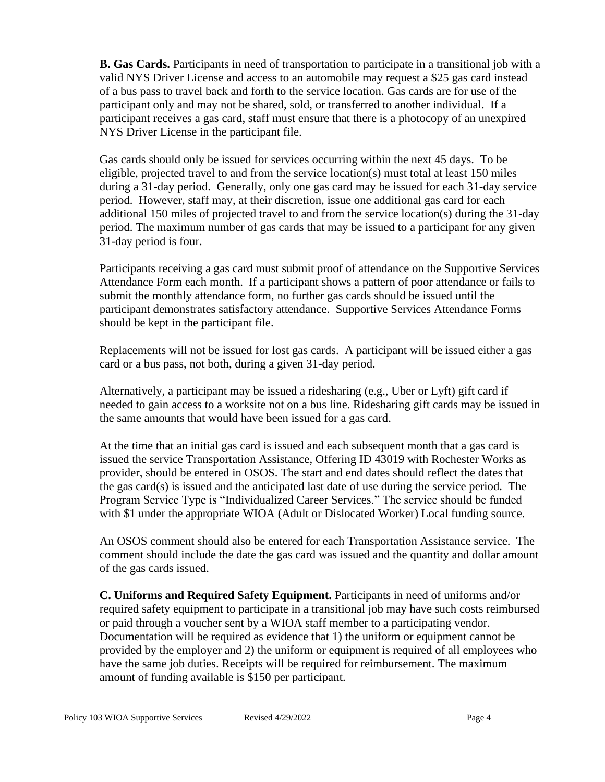**B. Gas Cards.** Participants in need of transportation to participate in a transitional job with a valid NYS Driver License and access to an automobile may request a \$25 gas card instead of a bus pass to travel back and forth to the service location. Gas cards are for use of the participant only and may not be shared, sold, or transferred to another individual. If a participant receives a gas card, staff must ensure that there is a photocopy of an unexpired NYS Driver License in the participant file.

Gas cards should only be issued for services occurring within the next 45 days. To be eligible, projected travel to and from the service location(s) must total at least 150 miles during a 31-day period. Generally, only one gas card may be issued for each 31-day service period. However, staff may, at their discretion, issue one additional gas card for each additional 150 miles of projected travel to and from the service location(s) during the 31-day period. The maximum number of gas cards that may be issued to a participant for any given 31-day period is four.

Participants receiving a gas card must submit proof of attendance on the Supportive Services Attendance Form each month. If a participant shows a pattern of poor attendance or fails to submit the monthly attendance form, no further gas cards should be issued until the participant demonstrates satisfactory attendance. Supportive Services Attendance Forms should be kept in the participant file.

Replacements will not be issued for lost gas cards. A participant will be issued either a gas card or a bus pass, not both, during a given 31-day period.

Alternatively, a participant may be issued a ridesharing (e.g., Uber or Lyft) gift card if needed to gain access to a worksite not on a bus line. Ridesharing gift cards may be issued in the same amounts that would have been issued for a gas card.

At the time that an initial gas card is issued and each subsequent month that a gas card is issued the service Transportation Assistance, Offering ID 43019 with Rochester Works as provider, should be entered in OSOS. The start and end dates should reflect the dates that the gas card(s) is issued and the anticipated last date of use during the service period. The Program Service Type is "Individualized Career Services." The service should be funded with \$1 under the appropriate WIOA (Adult or Dislocated Worker) Local funding source.

An OSOS comment should also be entered for each Transportation Assistance service. The comment should include the date the gas card was issued and the quantity and dollar amount of the gas cards issued.

**C. Uniforms and Required Safety Equipment.** Participants in need of uniforms and/or required safety equipment to participate in a transitional job may have such costs reimbursed or paid through a voucher sent by a WIOA staff member to a participating vendor. Documentation will be required as evidence that 1) the uniform or equipment cannot be provided by the employer and 2) the uniform or equipment is required of all employees who have the same job duties. Receipts will be required for reimbursement. The maximum amount of funding available is \$150 per participant.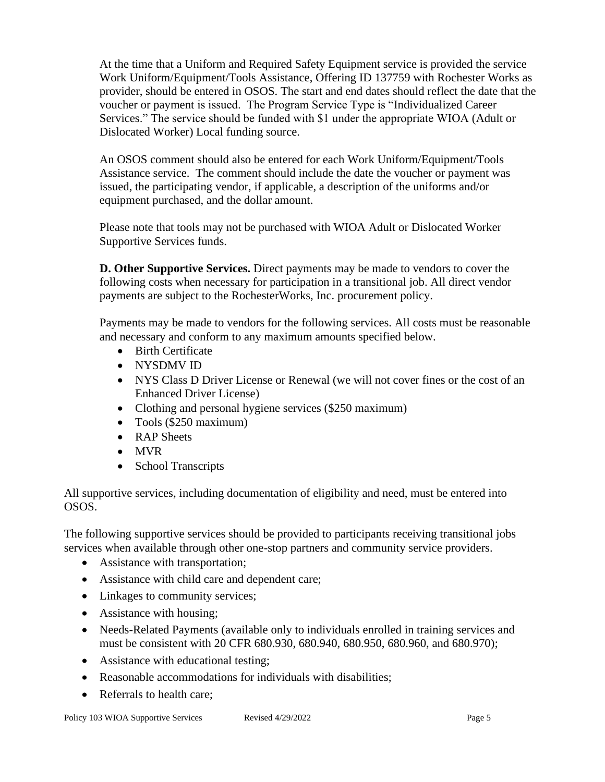At the time that a Uniform and Required Safety Equipment service is provided the service Work Uniform/Equipment/Tools Assistance, Offering ID 137759 with Rochester Works as provider, should be entered in OSOS. The start and end dates should reflect the date that the voucher or payment is issued. The Program Service Type is "Individualized Career Services." The service should be funded with \$1 under the appropriate WIOA (Adult or Dislocated Worker) Local funding source.

An OSOS comment should also be entered for each Work Uniform/Equipment/Tools Assistance service. The comment should include the date the voucher or payment was issued, the participating vendor, if applicable, a description of the uniforms and/or equipment purchased, and the dollar amount.

Please note that tools may not be purchased with WIOA Adult or Dislocated Worker Supportive Services funds.

**D. Other Supportive Services.** Direct payments may be made to vendors to cover the following costs when necessary for participation in a transitional job. All direct vendor payments are subject to the RochesterWorks, Inc. procurement policy.

Payments may be made to vendors for the following services. All costs must be reasonable and necessary and conform to any maximum amounts specified below.

- Birth Certificate
- NYSDMV ID
- NYS Class D Driver License or Renewal (we will not cover fines or the cost of an Enhanced Driver License)
- Clothing and personal hygiene services (\$250 maximum)
- Tools (\$250 maximum)
- RAP Sheets
- MVR
- School Transcripts

All supportive services, including documentation of eligibility and need, must be entered into OSOS.

The following supportive services should be provided to participants receiving transitional jobs services when available through other one-stop partners and community service providers.

- Assistance with transportation;
- Assistance with child care and dependent care;
- Linkages to community services;
- Assistance with housing;
- Needs-Related Payments (available only to individuals enrolled in training services and must be consistent with 20 CFR 680.930, 680.940, 680.950, 680.960, and 680.970);
- Assistance with educational testing;
- Reasonable accommodations for individuals with disabilities;
- Referrals to health care;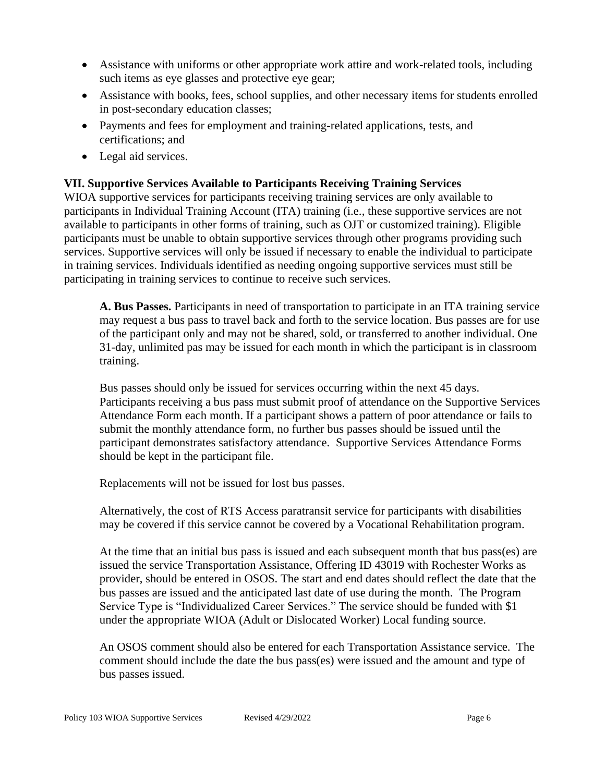- Assistance with uniforms or other appropriate work attire and work-related tools, including such items as eye glasses and protective eye gear;
- Assistance with books, fees, school supplies, and other necessary items for students enrolled in post-secondary education classes;
- Payments and fees for employment and training-related applications, tests, and certifications; and
- Legal aid services.

# **VII. Supportive Services Available to Participants Receiving Training Services**

WIOA supportive services for participants receiving training services are only available to participants in Individual Training Account (ITA) training (i.e., these supportive services are not available to participants in other forms of training, such as OJT or customized training). Eligible participants must be unable to obtain supportive services through other programs providing such services. Supportive services will only be issued if necessary to enable the individual to participate in training services. Individuals identified as needing ongoing supportive services must still be participating in training services to continue to receive such services.

**A. Bus Passes.** Participants in need of transportation to participate in an ITA training service may request a bus pass to travel back and forth to the service location. Bus passes are for use of the participant only and may not be shared, sold, or transferred to another individual. One 31-day, unlimited pas may be issued for each month in which the participant is in classroom training.

Bus passes should only be issued for services occurring within the next 45 days. Participants receiving a bus pass must submit proof of attendance on the Supportive Services Attendance Form each month. If a participant shows a pattern of poor attendance or fails to submit the monthly attendance form, no further bus passes should be issued until the participant demonstrates satisfactory attendance. Supportive Services Attendance Forms should be kept in the participant file.

Replacements will not be issued for lost bus passes.

Alternatively, the cost of RTS Access paratransit service for participants with disabilities may be covered if this service cannot be covered by a Vocational Rehabilitation program.

At the time that an initial bus pass is issued and each subsequent month that bus pass(es) are issued the service Transportation Assistance, Offering ID 43019 with Rochester Works as provider, should be entered in OSOS. The start and end dates should reflect the date that the bus passes are issued and the anticipated last date of use during the month. The Program Service Type is "Individualized Career Services." The service should be funded with \$1 under the appropriate WIOA (Adult or Dislocated Worker) Local funding source.

An OSOS comment should also be entered for each Transportation Assistance service. The comment should include the date the bus pass(es) were issued and the amount and type of bus passes issued.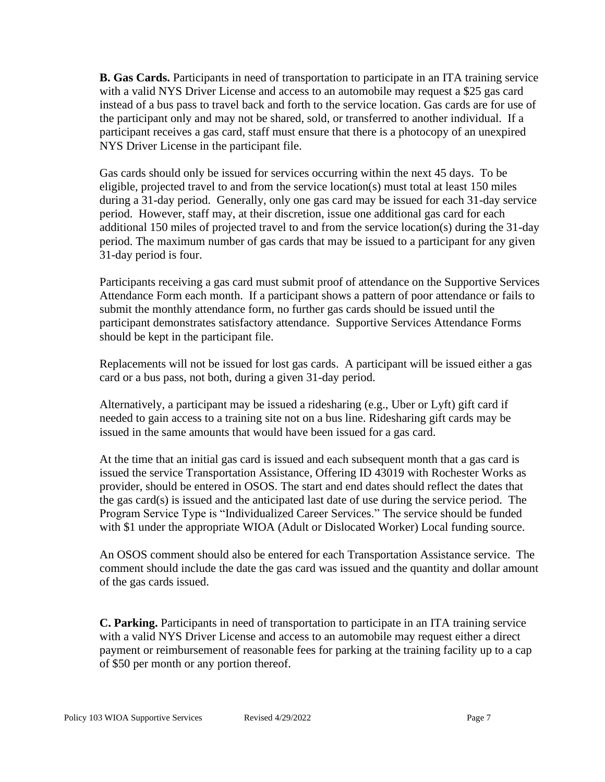**B. Gas Cards.** Participants in need of transportation to participate in an ITA training service with a valid NYS Driver License and access to an automobile may request a \$25 gas card instead of a bus pass to travel back and forth to the service location. Gas cards are for use of the participant only and may not be shared, sold, or transferred to another individual. If a participant receives a gas card, staff must ensure that there is a photocopy of an unexpired NYS Driver License in the participant file.

Gas cards should only be issued for services occurring within the next 45 days. To be eligible, projected travel to and from the service location(s) must total at least 150 miles during a 31-day period. Generally, only one gas card may be issued for each 31-day service period. However, staff may, at their discretion, issue one additional gas card for each additional 150 miles of projected travel to and from the service location(s) during the 31-day period. The maximum number of gas cards that may be issued to a participant for any given 31-day period is four.

Participants receiving a gas card must submit proof of attendance on the Supportive Services Attendance Form each month. If a participant shows a pattern of poor attendance or fails to submit the monthly attendance form, no further gas cards should be issued until the participant demonstrates satisfactory attendance. Supportive Services Attendance Forms should be kept in the participant file.

Replacements will not be issued for lost gas cards. A participant will be issued either a gas card or a bus pass, not both, during a given 31-day period.

Alternatively, a participant may be issued a ridesharing (e.g., Uber or Lyft) gift card if needed to gain access to a training site not on a bus line. Ridesharing gift cards may be issued in the same amounts that would have been issued for a gas card.

At the time that an initial gas card is issued and each subsequent month that a gas card is issued the service Transportation Assistance, Offering ID 43019 with Rochester Works as provider, should be entered in OSOS. The start and end dates should reflect the dates that the gas card(s) is issued and the anticipated last date of use during the service period. The Program Service Type is "Individualized Career Services." The service should be funded with \$1 under the appropriate WIOA (Adult or Dislocated Worker) Local funding source.

An OSOS comment should also be entered for each Transportation Assistance service. The comment should include the date the gas card was issued and the quantity and dollar amount of the gas cards issued.

**C. Parking.** Participants in need of transportation to participate in an ITA training service with a valid NYS Driver License and access to an automobile may request either a direct payment or reimbursement of reasonable fees for parking at the training facility up to a cap of \$50 per month or any portion thereof.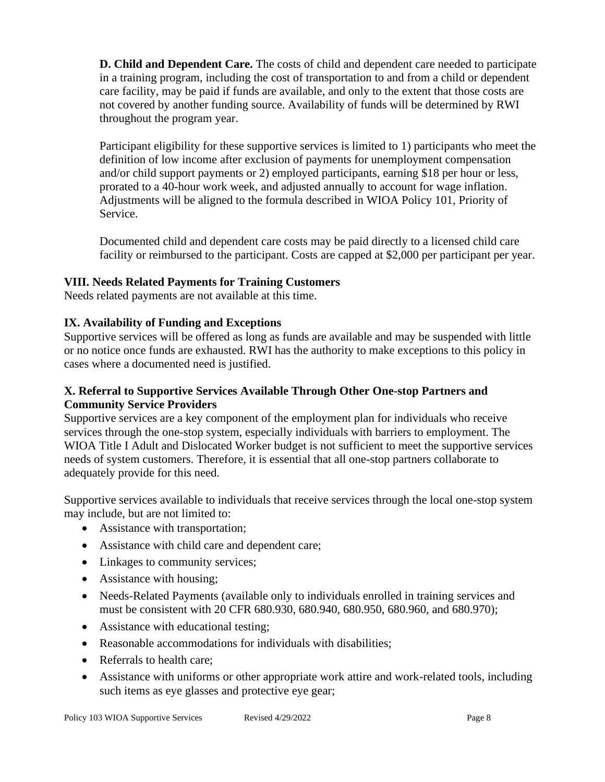**D. Child and Dependent Care.** The costs of child and dependent care needed to participate in a training program, including the cost of transportation to and from a child or dependent care facility, may be paid if funds are available, and only to the extent that those costs are not covered by another funding source. Availability of funds will be determined by RWI throughout the program year.

Participant eligibility for these supportive services is limited to 1) participants who meet the definition of low income after exclusion of payments for unemployment compensation and/or child support payments or 2) employed participants, earning \$18 per hour or less, prorated to a 40-hour work week, and adjusted annually to account for wage inflation. Adjustments will be aligned to the formula described in WIOA Policy 101, Priority of Service.

Documented child and dependent care costs may be paid directly to a licensed child care facility or reimbursed to the participant. Costs are capped at \$2,000 per participant per year.

# **VIII. Needs Related Payments for Training Customers**

Needs related payments are not available at this time.

### **IX. Availability of Funding and Exceptions**

Supportive services will be offered as long as funds are available and may be suspended with little or no notice once funds are exhausted. RWI has the authority to make exceptions to this policy in cases where a documented need is justified.

### **X. Referral to Supportive Services Available Through Other One-stop Partners and Community Service Providers**

Supportive services are a key component of the employment plan for individuals who receive services through the one-stop system, especially individuals with barriers to employment. The WIOA Title I Adult and Dislocated Worker budget is not sufficient to meet the supportive services needs of system customers. Therefore, it is essential that all one-stop partners collaborate to adequately provide for this need.

Supportive services available to individuals that receive services through the local one-stop system may include, but are not limited to:

- Assistance with transportation;
- Assistance with child care and dependent care;
- Linkages to community services;
- Assistance with housing;
- Needs-Related Payments (available only to individuals enrolled in training services and must be consistent with 20 CFR 680.930, 680.940, 680.950, 680.960, and 680.970);
- Assistance with educational testing;
- Reasonable accommodations for individuals with disabilities;
- Referrals to health care:
- Assistance with uniforms or other appropriate work attire and work-related tools, including such items as eye glasses and protective eye gear;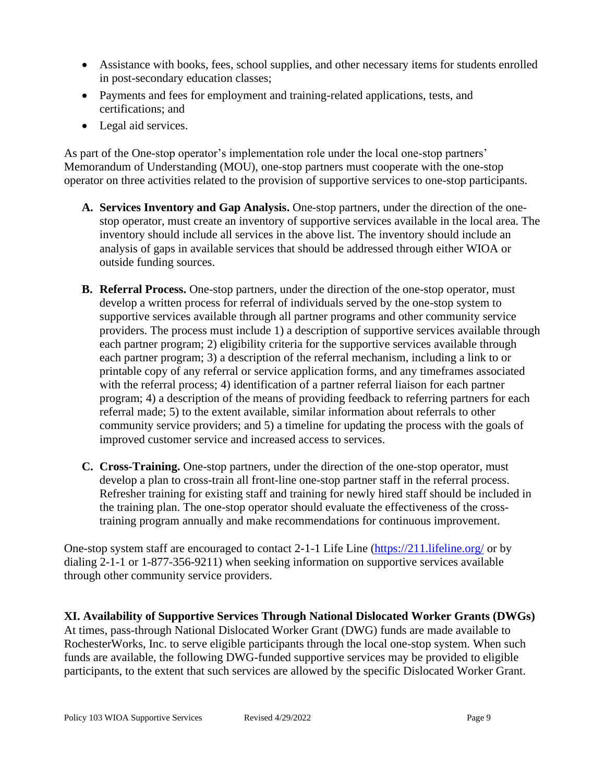- Assistance with books, fees, school supplies, and other necessary items for students enrolled in post-secondary education classes;
- Payments and fees for employment and training-related applications, tests, and certifications; and
- Legal aid services.

As part of the One-stop operator's implementation role under the local one-stop partners' Memorandum of Understanding (MOU), one-stop partners must cooperate with the one-stop operator on three activities related to the provision of supportive services to one-stop participants.

- **A. Services Inventory and Gap Analysis.** One-stop partners, under the direction of the onestop operator, must create an inventory of supportive services available in the local area. The inventory should include all services in the above list. The inventory should include an analysis of gaps in available services that should be addressed through either WIOA or outside funding sources.
- **B. Referral Process.** One-stop partners, under the direction of the one-stop operator, must develop a written process for referral of individuals served by the one-stop system to supportive services available through all partner programs and other community service providers. The process must include 1) a description of supportive services available through each partner program; 2) eligibility criteria for the supportive services available through each partner program; 3) a description of the referral mechanism, including a link to or printable copy of any referral or service application forms, and any timeframes associated with the referral process; 4) identification of a partner referral liaison for each partner program; 4) a description of the means of providing feedback to referring partners for each referral made; 5) to the extent available, similar information about referrals to other community service providers; and 5) a timeline for updating the process with the goals of improved customer service and increased access to services.
- **C. Cross-Training.** One-stop partners, under the direction of the one-stop operator, must develop a plan to cross-train all front-line one-stop partner staff in the referral process. Refresher training for existing staff and training for newly hired staff should be included in the training plan. The one-stop operator should evaluate the effectiveness of the crosstraining program annually and make recommendations for continuous improvement.

One-stop system staff are encouraged to contact 2-1-1 Life Line [\(https://211.lifeline.org/](https://211.lifeline.org/) or by dialing 2-1-1 or 1-877-356-9211) when seeking information on supportive services available through other community service providers.

**XI. Availability of Supportive Services Through National Dislocated Worker Grants (DWGs)** At times, pass-through National Dislocated Worker Grant (DWG) funds are made available to RochesterWorks, Inc. to serve eligible participants through the local one-stop system. When such funds are available, the following DWG-funded supportive services may be provided to eligible participants, to the extent that such services are allowed by the specific Dislocated Worker Grant.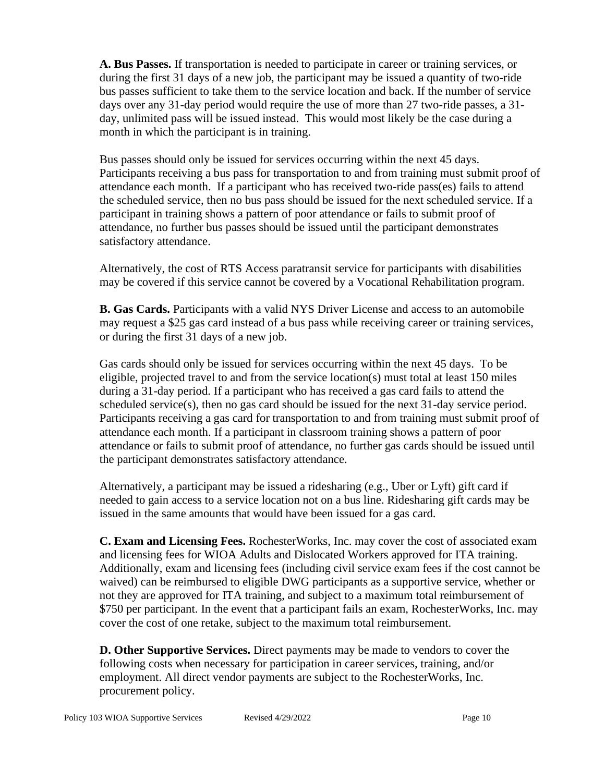**A. Bus Passes.** If transportation is needed to participate in career or training services, or during the first 31 days of a new job, the participant may be issued a quantity of two-ride bus passes sufficient to take them to the service location and back. If the number of service days over any 31-day period would require the use of more than 27 two-ride passes, a 31 day, unlimited pass will be issued instead. This would most likely be the case during a month in which the participant is in training.

Bus passes should only be issued for services occurring within the next 45 days. Participants receiving a bus pass for transportation to and from training must submit proof of attendance each month. If a participant who has received two-ride pass(es) fails to attend the scheduled service, then no bus pass should be issued for the next scheduled service. If a participant in training shows a pattern of poor attendance or fails to submit proof of attendance, no further bus passes should be issued until the participant demonstrates satisfactory attendance.

Alternatively, the cost of RTS Access paratransit service for participants with disabilities may be covered if this service cannot be covered by a Vocational Rehabilitation program.

**B. Gas Cards.** Participants with a valid NYS Driver License and access to an automobile may request a \$25 gas card instead of a bus pass while receiving career or training services, or during the first 31 days of a new job.

Gas cards should only be issued for services occurring within the next 45 days. To be eligible, projected travel to and from the service location(s) must total at least 150 miles during a 31-day period. If a participant who has received a gas card fails to attend the scheduled service(s), then no gas card should be issued for the next  $31$ -day service period. Participants receiving a gas card for transportation to and from training must submit proof of attendance each month. If a participant in classroom training shows a pattern of poor attendance or fails to submit proof of attendance, no further gas cards should be issued until the participant demonstrates satisfactory attendance.

Alternatively, a participant may be issued a ridesharing (e.g., Uber or Lyft) gift card if needed to gain access to a service location not on a bus line. Ridesharing gift cards may be issued in the same amounts that would have been issued for a gas card.

**C. Exam and Licensing Fees.** RochesterWorks, Inc. may cover the cost of associated exam and licensing fees for WIOA Adults and Dislocated Workers approved for ITA training. Additionally, exam and licensing fees (including civil service exam fees if the cost cannot be waived) can be reimbursed to eligible DWG participants as a supportive service, whether or not they are approved for ITA training, and subject to a maximum total reimbursement of \$750 per participant. In the event that a participant fails an exam, RochesterWorks, Inc. may cover the cost of one retake, subject to the maximum total reimbursement.

**D. Other Supportive Services.** Direct payments may be made to vendors to cover the following costs when necessary for participation in career services, training, and/or employment. All direct vendor payments are subject to the RochesterWorks, Inc. procurement policy.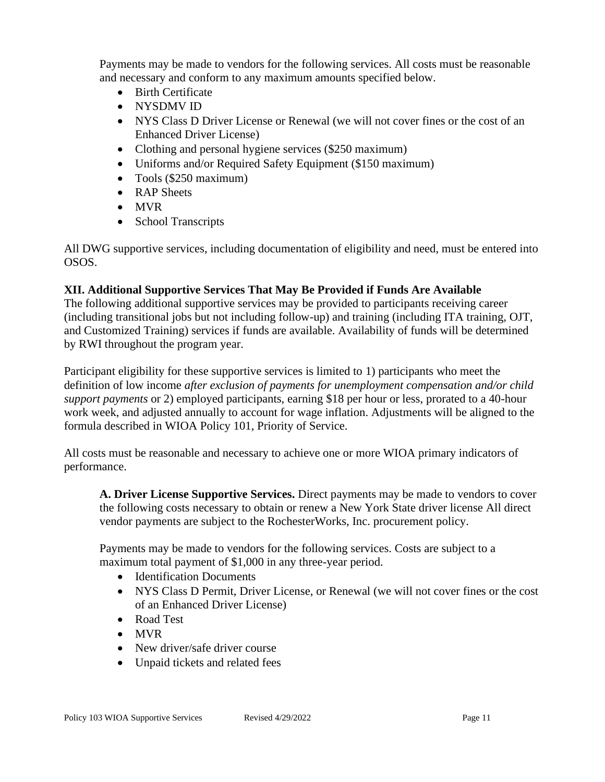Payments may be made to vendors for the following services. All costs must be reasonable and necessary and conform to any maximum amounts specified below.

- Birth Certificate
- NYSDMV ID
- NYS Class D Driver License or Renewal (we will not cover fines or the cost of an Enhanced Driver License)
- Clothing and personal hygiene services (\$250 maximum)
- Uniforms and/or Required Safety Equipment (\$150 maximum)
- Tools (\$250 maximum)
- RAP Sheets
- MVR
- School Transcripts

All DWG supportive services, including documentation of eligibility and need, must be entered into OSOS.

### **XII. Additional Supportive Services That May Be Provided if Funds Are Available**

The following additional supportive services may be provided to participants receiving career (including transitional jobs but not including follow-up) and training (including ITA training, OJT, and Customized Training) services if funds are available. Availability of funds will be determined by RWI throughout the program year.

Participant eligibility for these supportive services is limited to 1) participants who meet the definition of low income *after exclusion of payments for unemployment compensation and/or child support payments* or 2) employed participants, earning \$18 per hour or less, prorated to a 40-hour work week, and adjusted annually to account for wage inflation. Adjustments will be aligned to the formula described in WIOA Policy 101, Priority of Service.

All costs must be reasonable and necessary to achieve one or more WIOA primary indicators of performance.

**A. Driver License Supportive Services.** Direct payments may be made to vendors to cover the following costs necessary to obtain or renew a New York State driver license All direct vendor payments are subject to the RochesterWorks, Inc. procurement policy.

Payments may be made to vendors for the following services. Costs are subject to a maximum total payment of \$1,000 in any three-year period.

- Identification Documents
- NYS Class D Permit, Driver License, or Renewal (we will not cover fines or the cost of an Enhanced Driver License)
- Road Test
- MVR
- New driver/safe driver course
- Unpaid tickets and related fees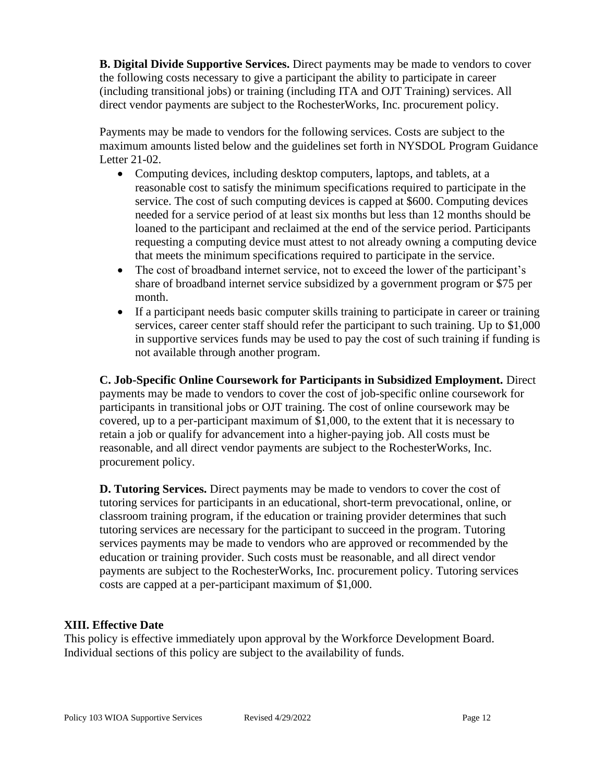**B. Digital Divide Supportive Services.** Direct payments may be made to vendors to cover the following costs necessary to give a participant the ability to participate in career (including transitional jobs) or training (including ITA and OJT Training) services. All direct vendor payments are subject to the RochesterWorks, Inc. procurement policy.

Payments may be made to vendors for the following services. Costs are subject to the maximum amounts listed below and the guidelines set forth in NYSDOL Program Guidance Letter 21-02.

- Computing devices, including desktop computers, laptops, and tablets, at a reasonable cost to satisfy the minimum specifications required to participate in the service. The cost of such computing devices is capped at \$600. Computing devices needed for a service period of at least six months but less than 12 months should be loaned to the participant and reclaimed at the end of the service period. Participants requesting a computing device must attest to not already owning a computing device that meets the minimum specifications required to participate in the service.
- The cost of broadband internet service, not to exceed the lower of the participant's share of broadband internet service subsidized by a government program or \$75 per month.
- If a participant needs basic computer skills training to participate in career or training services, career center staff should refer the participant to such training. Up to \$1,000 in supportive services funds may be used to pay the cost of such training if funding is not available through another program.

**C. Job-Specific Online Coursework for Participants in Subsidized Employment.** Direct payments may be made to vendors to cover the cost of job-specific online coursework for participants in transitional jobs or OJT training. The cost of online coursework may be covered, up to a per-participant maximum of \$1,000, to the extent that it is necessary to retain a job or qualify for advancement into a higher-paying job. All costs must be reasonable, and all direct vendor payments are subject to the RochesterWorks, Inc. procurement policy.

**D. Tutoring Services.** Direct payments may be made to vendors to cover the cost of tutoring services for participants in an educational, short-term prevocational, online, or classroom training program, if the education or training provider determines that such tutoring services are necessary for the participant to succeed in the program. Tutoring services payments may be made to vendors who are approved or recommended by the education or training provider. Such costs must be reasonable, and all direct vendor payments are subject to the RochesterWorks, Inc. procurement policy. Tutoring services costs are capped at a per-participant maximum of \$1,000.

### **XIII. Effective Date**

This policy is effective immediately upon approval by the Workforce Development Board. Individual sections of this policy are subject to the availability of funds.